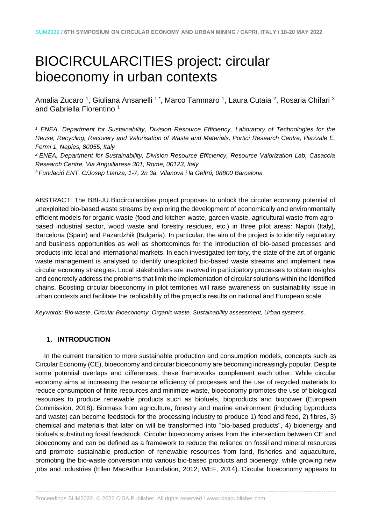# BIOCIRCULARCITIES project: circular bioeconomy in urban contexts

Amalia Zucaro <sup>1</sup>, Giuliana Ansanelli <sup>1,\*</sup>, Marco Tammaro <sup>1</sup>, Laura Cutaia <sup>2</sup>, Rosaria Chifari <sup>3</sup> and Gabriella Fiorentino <sup>1</sup>

*<sup>1</sup> ENEA, Department for Sustainability, Division Resource Efficiency, Laboratory of Technologies for the Reuse, Recycling, Recovery and Valorisation of Waste and Materials, Portici Research Centre, Piazzale E. Fermi 1, Naples, 80055, Italy*

*<sup>2</sup>ENEA, Department for Sustainability, Division Resource Efficiency, Resource Valorization Lab, Casaccia Research Centre, Via Anguillarese 301, Rome, 00123, Italy*

*<sup>3</sup>Fundació ENT, C/Josep Llanza, 1-7, 2n 3a. Vilanova i la Geltrú, 08800 Barcelona*

ABSTRACT: The BBI-JU Biocircularcities project proposes to unlock the circular economy potential of unexploited bio-based waste streams by exploring the development of economically and environmentally efficient models for organic waste (food and kitchen waste, garden waste, agricultural waste from agrobased industrial sector, wood waste and forestry residues, etc.) in three pilot areas: Napoli (Italy), Barcelona (Spain) and Pazardzhik (Bulgaria). In particular, the aim of the project is to identify regulatory and business opportunities as well as shortcomings for the introduction of bio-based processes and products into local and international markets. In each investigated territory, the state of the art of organic waste management is analysed to identify unexploited bio-based waste streams and implement new circular economy strategies. Local stakeholders are involved in participatory processes to obtain insights and concretely address the problems that limit the implementation of circular solutions within the identified chains. Boosting circular bioeconomy in pilot territories will raise awareness on sustainability issue in urban contexts and facilitate the replicability of the project's results on national and European scale.

*Keywords: Bio-waste, Circular Bioeconomy, Organic waste, Sustainability assessment, Urban systems.*

# **1. INTRODUCTION**

In the current transition to more sustainable production and consumption models, concepts such as Circular Economy (CE), bioeconomy and circular bioeconomy are becoming increasingly popular. Despite some potential overlaps and differences, these frameworks complement each other. While circular economy aims at increasing the resource efficiency of processes and the use of recycled materials to reduce consumption of finite resources and minimize waste, bioeconomy promotes the use of biological resources to produce renewable products such as biofuels, bioproducts and biopower (European Commission, 2018). Biomass from agriculture, forestry and marine environment (including byproducts and waste) can become feedstock for the processing industry to produce 1) food and feed, 2) fibres, 3) chemical and materials that later on will be transformed into "bio-based products'', 4) bioenergy and biofuels substituting fossil feedstock. Circular bioeconomy arises from the intersection between CE and bioeconomy and can be defined as a framework to reduce the reliance on fossil and mineral resources and promote sustainable production of renewable resources from land, fisheries and aquaculture, promoting the bio-waste conversion into various bio-based products and bioenergy, while growing new jobs and industries (Ellen MacArthur Foundation, 2012; WEF, 2014). Circular bioeconomy appears to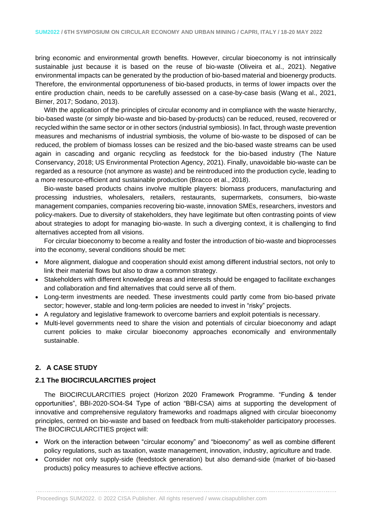bring economic and environmental growth benefits. However, circular bioeconomy is not intrinsically sustainable just because it is based on the reuse of bio-waste (Oliveira et al., 2021). Negative environmental impacts can be generated by the production of bio-based material and bioenergy products. Therefore, the environmental opportuneness of bio-based products, in terms of lower impacts over the entire production chain, needs to be carefully assessed on a case-by-case basis (Wang et al., 2021, Birner, 2017; Sodano, 2013).

With the application of the principles of circular economy and in compliance with the waste hierarchy, bio-based waste (or simply bio-waste and bio-based by-products) can be reduced, reused, recovered or recycled within the same sector or in other sectors (industrial symbiosis). In fact, through waste prevention measures and mechanisms of industrial symbiosis, the volume of bio-waste to be disposed of can be reduced, the problem of biomass losses can be resized and the bio-based waste streams can be used again in cascading and organic recycling as feedstock for the bio-based industry (The Nature Conservancy, 2018; US Environmental Protection Agency, 2021). Finally, unavoidable bio-waste can be regarded as a resource (not anymore as waste) and be reintroduced into the production cycle, leading to a more resource-efficient and sustainable production (Bracco et al., 2018).

Bio-waste based products chains involve multiple players: biomass producers, manufacturing and processing industries, wholesalers, retailers, restaurants, supermarkets, consumers, bio-waste management companies, companies recovering bio-waste, innovation SMEs, researchers, investors and policy-makers. Due to diversity of stakeholders, they have legitimate but often contrasting points of view about strategies to adopt for managing bio-waste. In such a diverging context, it is challenging to find alternatives accepted from all visions.

For circular bioeconomy to become a reality and foster the introduction of bio-waste and bioprocesses into the economy, several conditions should be met:

- More alignment, dialogue and cooperation should exist among different industrial sectors, not only to link their material flows but also to draw a common strategy.
- Stakeholders with different knowledge areas and interests should be engaged to facilitate exchanges and collaboration and find alternatives that could serve all of them.
- Long-term investments are needed. These investments could partly come from bio-based private sector; however, stable and long-term policies are needed to invest in "risky" projects.
- A regulatory and legislative framework to overcome barriers and exploit potentials is necessary.
- Multi-level governments need to share the vision and potentials of circular bioeconomy and adapt current policies to make circular bioeconomy approaches economically and environmentally sustainable.

# **2. A CASE STUDY**

# **2.1 The BIOCIRCULARCITIES project**

The BIOCIRCULARCITIES project (Horizon 2020 Framework Programme. "Funding & tender opportunities", BBI-2020-SO4-S4 Type of action "BBI-CSA) aims at supporting the development of innovative and comprehensive regulatory frameworks and roadmaps aligned with circular bioeconomy principles, centred on bio-waste and based on feedback from multi-stakeholder participatory processes. The BIOCIRCULARCITIES project will:

- Work on the interaction between "circular economy" and "bioeconomy" as well as combine different policy regulations, such as taxation, waste management, innovation, industry, agriculture and trade.
- Consider not only supply-side (feedstock generation) but also demand-side (market of bio-based products) policy measures to achieve effective actions.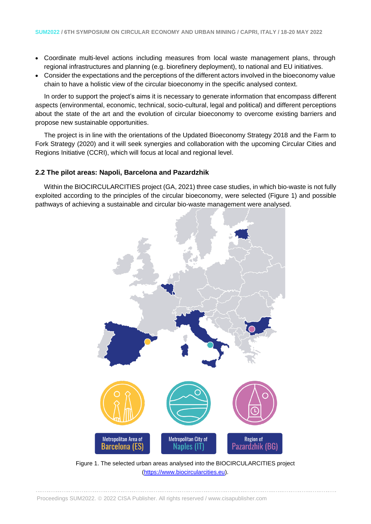- Coordinate multi-level actions including measures from local waste management plans, through regional infrastructures and planning (e.g. biorefinery deployment), to national and EU initiatives.
- Consider the expectations and the perceptions of the different actors involved in the bioeconomy value chain to have a holistic view of the circular bioeconomy in the specific analysed context.

In order to support the project's aims it is necessary to generate information that encompass different aspects (environmental, economic, technical, socio-cultural, legal and political) and different perceptions about the state of the art and the evolution of circular bioeconomy to overcome existing barriers and propose new sustainable opportunities.

The project is in line with the orientations of the Updated Bioeconomy Strategy 2018 and the Farm to Fork Strategy (2020) and it will seek synergies and collaboration with the upcoming Circular Cities and Regions Initiative (CCRI), which will focus at local and regional level.

## **2.2 The pilot areas: Napoli, Barcelona and Pazardzhik**

Within the BIOCIRCULARCITIES project (GA, 2021) three case studies, in which bio-waste is not fully exploited according to the principles of the circular bioeconomy, were selected (Figure 1) and possible pathways of achieving a sustainable and circular bio-waste management were analysed.



Figure 1. The selected urban areas analysed into the BIOCIRCULARCITIES project [\(https://www.biocircularcities.eu\)](https://www.biocircularcities.eu/).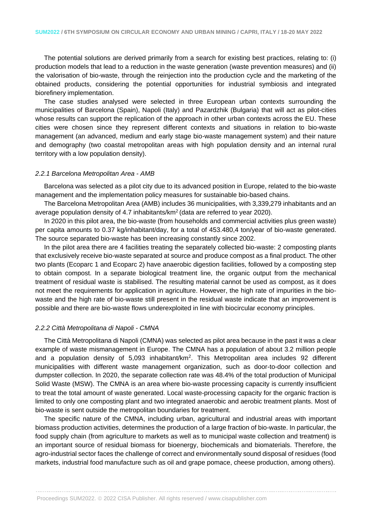The potential solutions are derived primarily from a search for existing best practices, relating to: (i) production models that lead to a reduction in the waste generation (waste prevention measures) and (ii) the valorisation of bio-waste, through the reinjection into the production cycle and the marketing of the obtained products, considering the potential opportunities for industrial symbiosis and integrated biorefinery implementation.

The case studies analysed were selected in three European urban contexts surrounding the municipalities of Barcelona (Spain), Napoli (Italy) and Pazardzhik (Bulgaria) that will act as pilot-cities whose results can support the replication of the approach in other urban contexts across the EU. These cities were chosen since they represent different contexts and situations in relation to bio-waste management (an advanced, medium and early stage bio-waste management system) and their nature and demography (two coastal metropolitan areas with high population density and an internal rural territory with a low population density).

## *2.2.1 Barcelona Metropolitan Area - AMB*

Barcelona was selected as a pilot city due to its advanced position in Europe, related to the bio-waste management and the implementation policy measures for sustainable bio-based chains.

The Barcelona Metropolitan Area (AMB) includes 36 municipalities, with 3,339,279 inhabitants and an average population density of 4.7 inhabitants/km<sup>2</sup>(data are referred to year 2020).

In 2020 in this pilot area, the bio-waste (from households and commercial activities plus green waste) per capita amounts to 0.37 kg/inhabitant/day, for a total of 453.480,4 ton/year of bio-waste generated. The source separated bio-waste has been increasing constantly since 2002.

In the pilot area there are 4 facilities treating the separately collected bio-waste: 2 composting plants that exclusively receive bio-waste separated at source and produce compost as a final product. The other two plants (Ecoparc 1 and Ecoparc 2) have anaerobic digestion facilities, followed by a composting step to obtain compost. In a separate biological treatment line, the organic output from the mechanical treatment of residual waste is stabilised. The resulting material cannot be used as compost, as it does not meet the requirements for application in agriculture. However, the high rate of impurities in the biowaste and the high rate of bio-waste still present in the residual waste indicate that an improvement is possible and there are bio-waste flows underexploited in line with biocircular economy principles.

#### *2.2.2 Città Metropolitana di Napoli - CMNA*

The Città Metropolitana di Napoli (CMNA) was selected as pilot area because in the past it was a clear example of waste mismanagement in Europe. The CMNA has a population of about 3.2 million people and a population density of 5,093 inhabitant/km<sup>2</sup>. This Metropolitan area includes 92 different municipalities with different waste management organization, such as door-to-door collection and dumpster collection. In 2020, the separate collection rate was 48.4% of the total production of Municipal Solid Waste (MSW). The CMNA is an area where bio-waste processing capacity is currently insufficient to treat the total amount of waste generated. Local waste-processing capacity for the organic fraction is limited to only one composting plant and two integrated anaerobic and aerobic treatment plants. Most of bio-waste is sent outside the metropolitan boundaries for treatment.

The specific nature of the CMNA, including urban, agricultural and industrial areas with important biomass production activities, determines the production of a large fraction of bio-waste. In particular, the food supply chain (from agriculture to markets as well as to municipal waste collection and treatment) is an important source of residual biomass for bioenergy, biochemicals and biomaterials. Therefore, the agro-industrial sector faces the challenge of correct and environmentally sound disposal of residues (food markets, industrial food manufacture such as oil and grape pomace, cheese production, among others).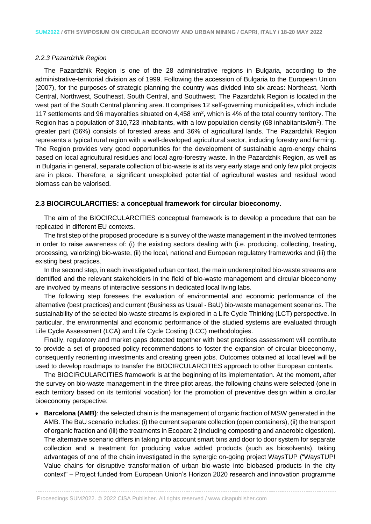## *2.2.3 Pazardzhik Region*

The Pazardzhik Region is one of the 28 administrative regions in Bulgaria, according to the administrative-territorial division as of 1999. Following the accession of Bulgaria to the European Union (2007), for the purposes of strategic planning the country was divided into six areas: Northeast, North Central, Northwest, Southeast, South Central, and Southwest. The Pazardzhik Region is located in the west part of the South Central planning area. It comprises 12 self-governing municipalities, which include 117 settlements and 96 mayoralties situated on 4,458 km<sup>2</sup>, which is 4% of the total country territory. The Region has a population of 310,723 inhabitants, with a low population density (68 inhabitants/km<sup>2</sup>). The greater part (56%) consists of forested areas and 36% of agricultural lands. The Pazardzhik Region represents a typical rural region with a well-developed agricultural sector, including forestry and farming. The Region provides very good opportunities for the development of sustainable agro-energy chains based on local agricultural residues and local agro-forestry waste. In the Pazardzhik Region, as well as in Bulgaria in general, separate collection of bio-waste is at its very early stage and only few pilot projects are in place. Therefore, a significant unexploited potential of agricultural wastes and residual wood biomass can be valorised.

## **2.3 BIOCIRCULARCITIES: a conceptual framework for circular bioeconomy.**

The aim of the BIOCIRCULARCITIES conceptual framework is to develop a procedure that can be replicated in different EU contexts.

The first step of the proposed procedure is a survey of the waste management in the involved territories in order to raise awareness of: (i) the existing sectors dealing with (i.e. producing, collecting, treating, processing, valorizing) bio-waste, (ii) the local, national and European regulatory frameworks and (iii) the existing best practices.

In the second step, in each investigated urban context, the main underexploited bio-waste streams are identified and the relevant stakeholders in the field of bio-waste management and circular bioeconomy are involved by means of interactive sessions in dedicated local living labs.

The following step foresees the evaluation of environmental and economic performance of the alternative (best practices) and current (Business as Usual - BaU) bio-waste management scenarios. The sustainability of the selected bio-waste streams is explored in a Life Cycle Thinking (LCT) perspective. In particular, the environmental and economic performance of the studied systems are evaluated through Life Cycle Assessment (LCA) and Life Cycle Costing (LCC) methodologies.

Finally, regulatory and market gaps detected together with best practices assessment will contribute to provide a set of proposed policy recommendations to foster the expansion of circular bioeconomy, consequently reorienting investments and creating green jobs. Outcomes obtained at local level will be used to develop roadmaps to transfer the BIOCIRCULARCITIES approach to other European contexts.

The BIOCIRCULARCITIES framework is at the beginning of its implementation. At the moment, after the survey on bio-waste management in the three pilot areas, the following chains were selected (one in each territory based on its territorial vocation) for the promotion of preventive design within a circular bioeconomy perspective:

• **Barcelona (AMB)**: the selected chain is the management of organic fraction of MSW generated in the AMB. The BaU scenario includes: (i) the current separate collection (open containers), (ii) the transport of organic fraction and (iii) the treatments in Ecoparc 2 (including composting and anaerobic digestion). The alternative scenario differs in taking into account smart bins and door to door system for separate collection and a treatment for producing value added products (such as biosolvents), taking advantages of one of the chain investigated in the synergic on-going project WaysTUP ("WaysTUP! Value chains for disruptive transformation of urban bio-waste into biobased products in the city context" – Project funded from European Union's Horizon 2020 research and innovation programme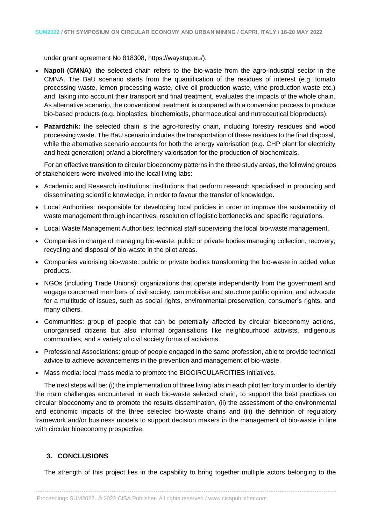under grant agreement No 818308, https://waystup.eu/).

- **Napoli (CMNA)**: the selected chain refers to the bio-waste from the agro-industrial sector in the CMNA. The BaU scenario starts from the quantification of the residues of interest (e.g. tomato processing waste, lemon processing waste, olive oil production waste, wine production waste etc.) and, taking into account their transport and final treatment, evaluates the impacts of the whole chain. As alternative scenario, the conventional treatment is compared with a conversion process to produce bio-based products (e.g. bioplastics, biochemicals, pharmaceutical and nutraceutical bioproducts).
- **Pazardzhik:** the selected chain is the agro-forestry chain, including forestry residues and wood processing waste. The BaU scenario includes the transportation of these residues to the final disposal, while the alternative scenario accounts for both the energy valorisation (e.g. CHP plant for electricity and heat generation) or/and a biorefinery valorisation for the production of biochemicals.

For an effective transition to circular bioeconomy patterns in the three study areas, the following groups of stakeholders were involved into the local living labs:

- Academic and Research institutions: institutions that perform research specialised in producing and disseminating scientific knowledge, in order to favour the transfer of knowledge.
- Local Authorities: responsible for developing local policies in order to improve the sustainability of waste management through incentives, resolution of logistic bottlenecks and specific regulations.
- Local Waste Management Authorities: technical staff supervising the local bio-waste management.
- Companies in charge of managing bio-waste: public or private bodies managing collection, recovery, recycling and disposal of bio-waste in the pilot areas.
- Companies valorising bio-waste: public or private bodies transforming the bio-waste in added value products.
- NGOs (including Trade Unions): organizations that operate independently from the government and engage concerned members of civil society, can mobilise and structure public opinion, and advocate for a multitude of issues, such as social rights, environmental preservation, consumer's rights, and many others.
- Communities: group of people that can be potentially affected by circular bioeconomy actions, unorganised citizens but also informal organisations like neighbourhood activists, indigenous communities, and a variety of civil society forms of activisms.
- Professional Associations: group of people engaged in the same profession, able to provide technical advice to achieve advancements in the prevention and management of bio-waste.
- Mass media: local mass media to promote the BIOCIRCULARCITIES initiatives.

The next steps will be: (i) the implementation of three living labs in each pilot territory in order to identify the main challenges encountered in each bio-waste selected chain, to support the best practices on circular bioeconomy and to promote the results dissemination, (ii) the assessment of the environmental and economic impacts of the three selected bio-waste chains and (iii) the definition of regulatory framework and/or business models to support decision makers in the management of bio-waste in line with circular bioeconomy prospective.

# **3. CONCLUSIONS**

The strength of this project lies in the capability to bring together multiple actors belonging to the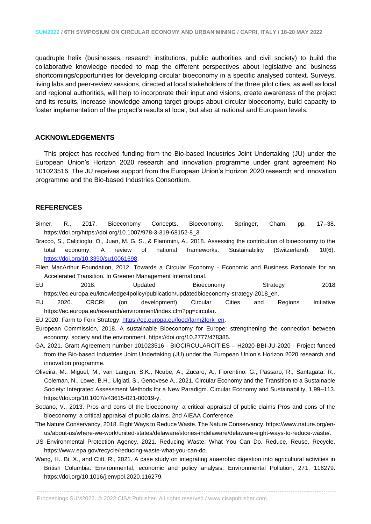quadruple helix (businesses, research institutions, public authorities and civil society) to build the collaborative knowledge needed to map the different perspectives about legislative and business shortcomings/opportunities for developing circular bioeconomy in a specific analysed context. Surveys, living labs and peer-review sessions, directed at local stakeholders of the three pilot cities, as well as local and regional authorities, will help to incorporate their input and visions, create awareness of the project and its results, increase knowledge among target groups about circular bioeconomy, build capacity to foster implementation of the project's results at local, but also at national and European levels.

## **ACKNOWLEDGEMENTS**

This project has received funding from the Bio-based Industries Joint Undertaking (JU) under the European Union's Horizon 2020 research and innovation programme under grant agreement No 101023516. The JU receives support from the European Union's Horizon 2020 research and innovation programme and the Bio-based Industries Consortium.

## **REFERENCES**

- Birner, R., 2017. Bioeconomy Concepts. Bioeconomy. Springer, Cham. pp. 17–38. https://doi.org/https://doi.org/10.1007/978-3-319-68152-8\_3.
- Bracco, S., Calicioglu, O., Juan, M. G. S., & Flammini, A., 2018. Assessing the contribution of bioeconomy to the total economy: A review of national frameworks. Sustainability (Switzerland), 10(6). [https://doi.org/10.3390/su10061698.](https://doi.org/10.3390/su10061698)
- Ellen MacArthur Foundation, 2012. Towards a Circular Economy Economic and Business Rationale for an Accelerated Transition. In Greener Management International.
- EU 2018. Updated Bioeconomy Strategy 2018 https://ec.europa.eu/knowledge4policy/publication/updatedbioeconomy-strategy-2018\_en.
- EU 2020. CRCRI (on development) Circular Cities and Regions Initiative https://ec.europa.eu/research/environment/index.cfm?pg=circular.
- EU 2020. Farm to Fork Strategy: [https://ec.europa.eu/food/farm2fork\\_en.](https://ec.europa.eu/food/farm2fork_en)
- European Commission, 2018. A sustainable Bioeconomy for Europe: strengthening the connection between economy, society and the environment. https://doi.org/10.2777/478385.
- GA, 2021. Grant Agreement number 101023516 BIOCIRCULARCITIES H2020-BBI-JU-2020 Project funded from the Bio-based Industries Joint Undertaking (JU) under the European Union's Horizon 2020 research and innovation programme.
- Oliveira, M., Miguel, M., van Langen, S.K., Ncube, A., Zucaro, A., Fiorentino, G., Passaro, R., Santagata, R., Coleman, N., Lowe, B.H., Ulgiati, S., Genovese A., 2021. Circular Economy and the Transition to a Sustainable Society: Integrated Assessment Methods for a New Paradigm. Circular Economy and Sustainability, 1,99–113. https://doi.org/10.1007/s43615-021-00019-y.
- Sodano, V., 2013. Pros and cons of the bioeconomy: a critical appraisal of public claims Pros and cons of the bioeconomy: a critical appraisal of public claims. 2nd AIEAA Conference.
- The Nature Conservancy, 2018. Eight Ways to Reduce Waste. The Nature Conservancy. https://www.nature.org/enus/about-us/where-we-work/united-states/delaware/stories-indelaware/delaware-eight-ways-to-reduce-waste/.
- US Environmental Protection Agency, 2021. Reducing Waste: What You Can Do. Reduce, Reuse, Recycle. https://www.epa.gov/recycle/reducing-waste-what-you-can-do.
- Wang, H., Bi, X., and Clift, R., 2021. A case study on integrating anaerobic digestion into agricultural activities in British Columbia: Environmental, economic and policy analysis. Environmental Pollution, 271, 116279. https://doi.org/10.1016/j.envpol.2020.116279.